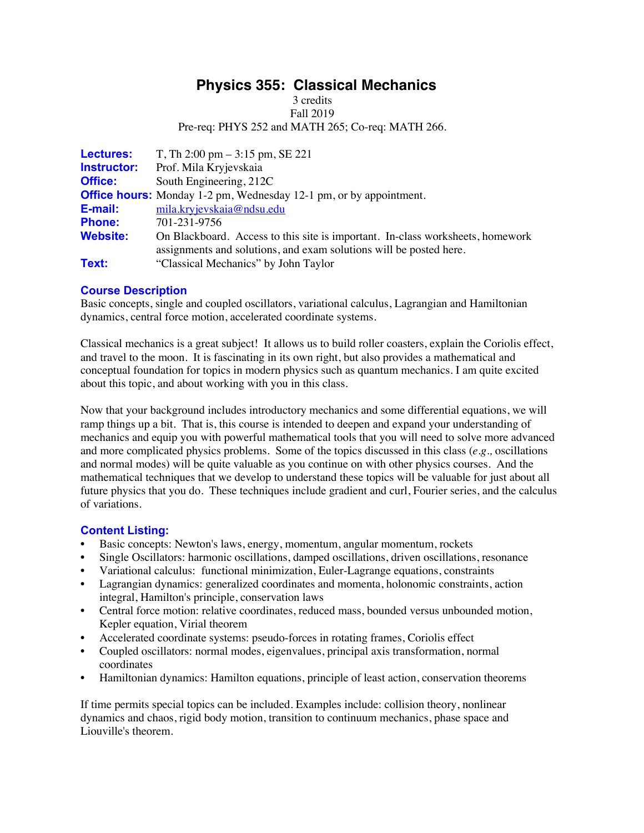# **Physics 355: Classical Mechanics**

3 credits

Fall 2019

Pre-req: PHYS 252 and MATH 265; Co-req: MATH 266.

| <b>Lectures:</b>   | T, Th $2:00 \text{ pm} - 3:15 \text{ pm}$ , SE 221                             |
|--------------------|--------------------------------------------------------------------------------|
| <b>Instructor:</b> | Prof. Mila Kryjevskaia                                                         |
| <b>Office:</b>     | South Engineering, 212C                                                        |
|                    | <b>Office hours:</b> Monday 1-2 pm, Wednesday 12-1 pm, or by appointment.      |
| E-mail:            | mila.kryjevskaja@ndsu.edu                                                      |
| <b>Phone:</b>      | 701-231-9756                                                                   |
| <b>Website:</b>    | On Blackboard. Access to this site is important. In-class worksheets, homework |
|                    | assignments and solutions, and exam solutions will be posted here.             |
| Text:              | "Classical Mechanics" by John Taylor                                           |

# **Course Description**

Basic concepts, single and coupled oscillators, variational calculus, Lagrangian and Hamiltonian dynamics, central force motion, accelerated coordinate systems.

Classical mechanics is a great subject! It allows us to build roller coasters, explain the Coriolis effect, and travel to the moon. It is fascinating in its own right, but also provides a mathematical and conceptual foundation for topics in modern physics such as quantum mechanics. I am quite excited about this topic, and about working with you in this class.

Now that your background includes introductory mechanics and some differential equations, we will ramp things up a bit. That is, this course is intended to deepen and expand your understanding of mechanics and equip you with powerful mathematical tools that you will need to solve more advanced and more complicated physics problems. Some of the topics discussed in this class (*e.g.,* oscillations and normal modes) will be quite valuable as you continue on with other physics courses. And the mathematical techniques that we develop to understand these topics will be valuable for just about all future physics that you do. These techniques include gradient and curl, Fourier series, and the calculus of variations.

# **Content Listing:**

- Basic concepts: Newton's laws, energy, momentum, angular momentum, rockets
- Single Oscillators: harmonic oscillations, damped oscillations, driven oscillations, resonance
- Variational calculus: functional minimization, Euler-Lagrange equations, constraints
- Lagrangian dynamics: generalized coordinates and momenta, holonomic constraints, action integral, Hamilton's principle, conservation laws
- Central force motion: relative coordinates, reduced mass, bounded versus unbounded motion, Kepler equation, Virial theorem
- Accelerated coordinate systems: pseudo-forces in rotating frames, Coriolis effect
- Coupled oscillators: normal modes, eigenvalues, principal axis transformation, normal coordinates
- Hamiltonian dynamics: Hamilton equations, principle of least action, conservation theorems

If time permits special topics can be included. Examples include: collision theory, nonlinear dynamics and chaos, rigid body motion, transition to continuum mechanics, phase space and Liouville's theorem.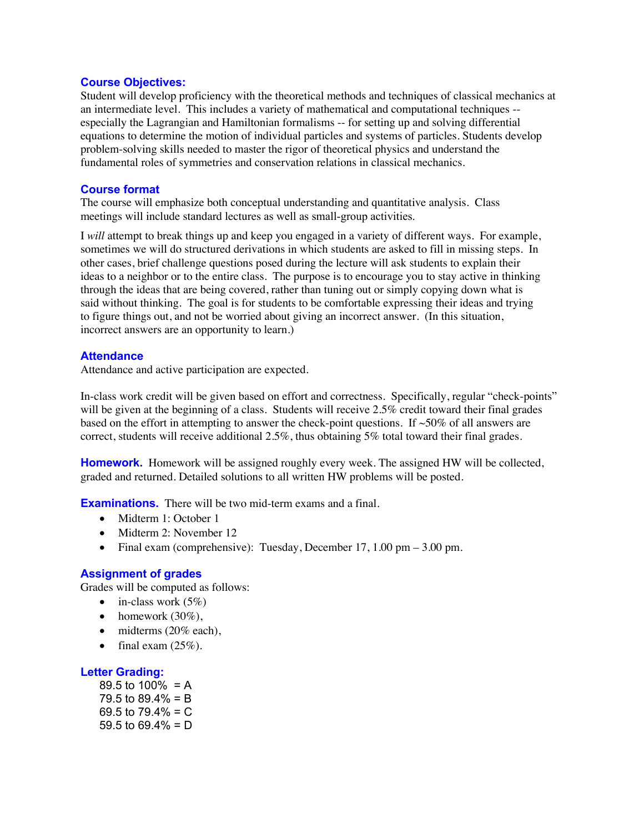### **Course Objectives:**

Student will develop proficiency with the theoretical methods and techniques of classical mechanics at an intermediate level. This includes a variety of mathematical and computational techniques - especially the Lagrangian and Hamiltonian formalisms -- for setting up and solving differential equations to determine the motion of individual particles and systems of particles. Students develop problem-solving skills needed to master the rigor of theoretical physics and understand the fundamental roles of symmetries and conservation relations in classical mechanics.

## **Course format**

The course will emphasize both conceptual understanding and quantitative analysis. Class meetings will include standard lectures as well as small-group activities.

I *will* attempt to break things up and keep you engaged in a variety of different ways. For example, sometimes we will do structured derivations in which students are asked to fill in missing steps. In other cases, brief challenge questions posed during the lecture will ask students to explain their ideas to a neighbor or to the entire class. The purpose is to encourage you to stay active in thinking through the ideas that are being covered, rather than tuning out or simply copying down what is said without thinking. The goal is for students to be comfortable expressing their ideas and trying to figure things out, and not be worried about giving an incorrect answer. (In this situation, incorrect answers are an opportunity to learn.)

## **Attendance**

Attendance and active participation are expected.

In-class work credit will be given based on effort and correctness. Specifically, regular "check-points" will be given at the beginning of a class. Students will receive 2.5% credit toward their final grades based on the effort in attempting to answer the check-point questions. If  $\sim$ 50% of all answers are correct, students will receive additional 2.5%, thus obtaining 5% total toward their final grades.

**Homework.** Homework will be assigned roughly every week. The assigned HW will be collected, graded and returned. Detailed solutions to all written HW problems will be posted.

**Examinations.** There will be two mid-term exams and a final.

- Midterm 1: October 1
- Midterm 2: November 12
- Final exam (comprehensive): Tuesday, December 17, 1.00 pm 3.00 pm.

## **Assignment of grades**

Grades will be computed as follows:

- in-class work  $(5%)$
- homework  $(30\%)$ ,
- midterms (20% each),
- final exam  $(25\%)$ .

# **Letter Grading:**

89.5 to  $100\% = A$ 79.5 to  $89.4\% = B$ 69.5 to  $79.4\% = C$ 59.5 to  $69.4\% = D$